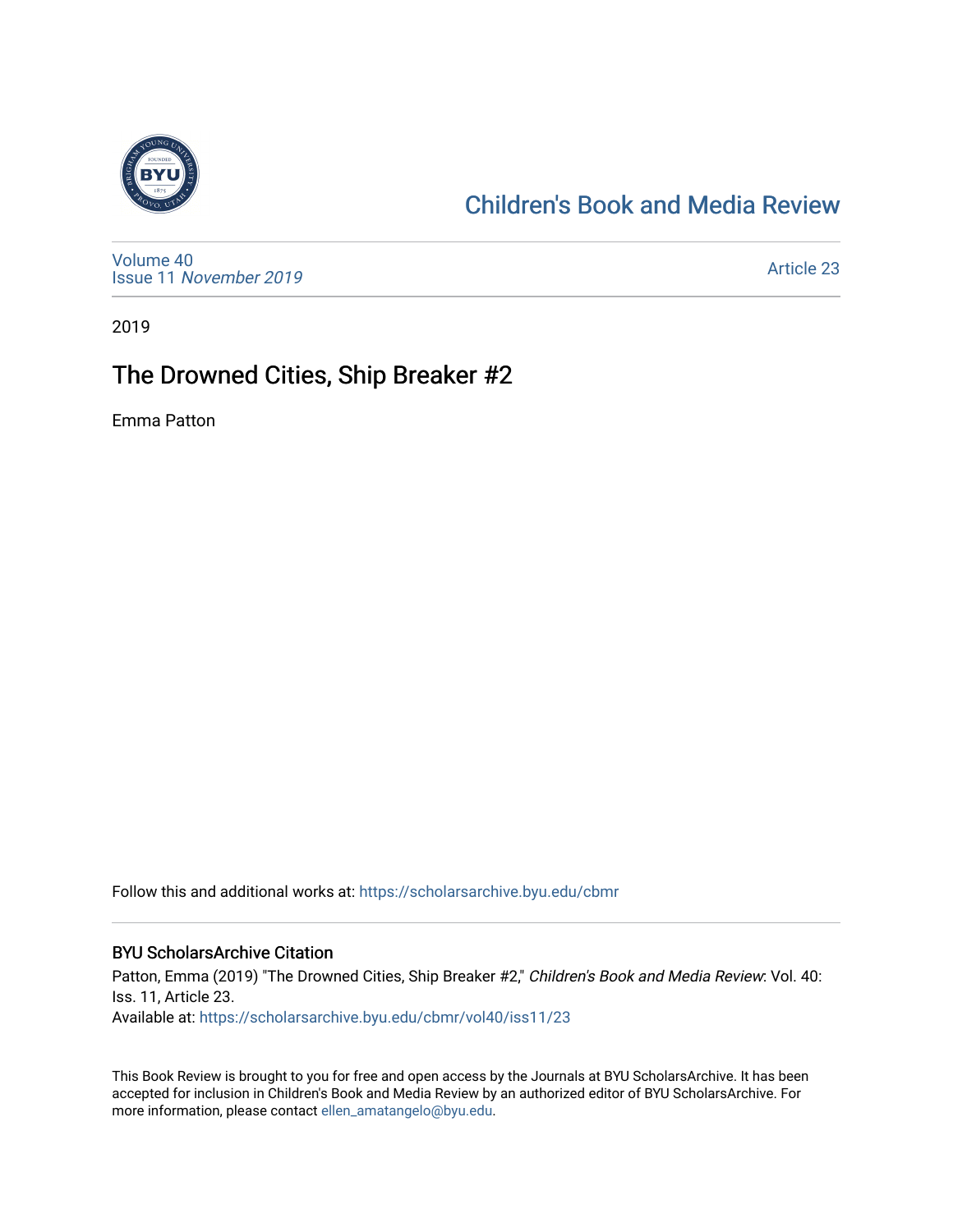

## [Children's Book and Media Review](https://scholarsarchive.byu.edu/cbmr)

[Volume 40](https://scholarsarchive.byu.edu/cbmr/vol40) Issue 11 [November 2019](https://scholarsarchive.byu.edu/cbmr/vol40/iss11) 

[Article 23](https://scholarsarchive.byu.edu/cbmr/vol40/iss11/23) 

2019

# The Drowned Cities, Ship Breaker #2

Emma Patton

Follow this and additional works at: [https://scholarsarchive.byu.edu/cbmr](https://scholarsarchive.byu.edu/cbmr?utm_source=scholarsarchive.byu.edu%2Fcbmr%2Fvol40%2Fiss11%2F23&utm_medium=PDF&utm_campaign=PDFCoverPages) 

#### BYU ScholarsArchive Citation

Patton, Emma (2019) "The Drowned Cities, Ship Breaker #2," Children's Book and Media Review: Vol. 40: Iss. 11, Article 23. Available at: [https://scholarsarchive.byu.edu/cbmr/vol40/iss11/23](https://scholarsarchive.byu.edu/cbmr/vol40/iss11/23?utm_source=scholarsarchive.byu.edu%2Fcbmr%2Fvol40%2Fiss11%2F23&utm_medium=PDF&utm_campaign=PDFCoverPages) 

This Book Review is brought to you for free and open access by the Journals at BYU ScholarsArchive. It has been accepted for inclusion in Children's Book and Media Review by an authorized editor of BYU ScholarsArchive. For more information, please contact [ellen\\_amatangelo@byu.edu.](mailto:ellen_amatangelo@byu.edu)